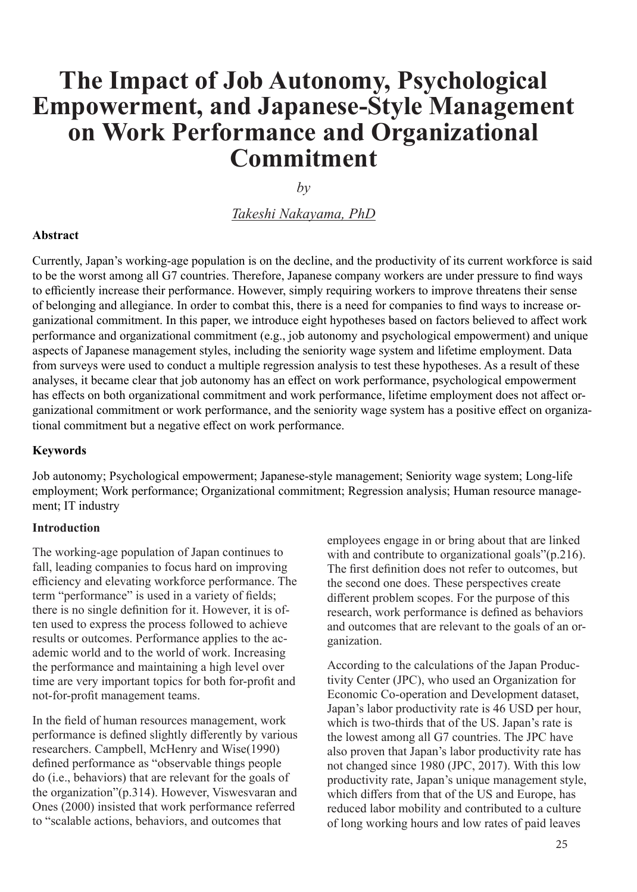# **The Impact of Job Autonomy, Psychological Empowerment, and Japanese-Style Management on Work Performance and Organizational Commitment**

 $b\nu$ 

# *Takeshi Nakayama, PhD*

### **Abstract**

Currently, Japan's working-age population is on the decline, and the productivity of its current workforce is said to be the worst among all G7 countries. Therefore, Japanese company workers are under pressure to find ways to efficiently increase their performance. However, simply requiring workers to improve threatens their sense of belonging and allegiance. In order to combat this, there is a need for companies to find ways to increase organizational commitment. In this paper, we introduce eight hypotheses based on factors believed to affect work performance and organizational commitment (e.g., job autonomy and psychological empowerment) and unique aspects of Japanese management styles, including the seniority wage system and lifetime employment. Data from surveys were used to conduct a multiple regression analysis to test these hypotheses. As a result of these analyses, it became clear that job autonomy has an effect on work performance, psychological empowerment has effects on both organizational commitment and work performance, lifetime employment does not affect organizational commitment or work performance, and the seniority wage system has a positive effect on organizational commitment but a negative effect on work performance.

#### **Keywords**

Job autonomy; Psychological empowerment; Japanese-style management; Seniority wage system; Long-life employment; Work performance; Organizational commitment; Regression analysis; Human resource management; IT industry

#### **Introduction**

The working-age population of Japan continues to fall, leading companies to focus hard on improving efficiency and elevating workforce performance. The term "performance" is used in a variety of fields; there is no single definition for it. However, it is often used to express the process followed to achieve results or outcomes. Performance applies to the academic world and to the world of work. Increasing the performance and maintaining a high level over time are very important topics for both for-profit and not-for-profit management teams.

In the field of human resources management, work performance is defined slightly differently by various researchers. Campbell, McHenry and Wise(1990) defined performance as "observable things people do (i.e., behaviors) that are relevant for the goals of the organization"(p.314). However, Viswesvaran and Ones (2000) insisted that work performance referred to "scalable actions, behaviors, and outcomes that

employees engage in or bring about that are linked with and contribute to organizational goals"(p.216). The first definition does not refer to outcomes, but the second one does. These perspectives create different problem scopes. For the purpose of this research, work performance is defined as behaviors and outcomes that are relevant to the goals of an organization.

According to the calculations of the Japan Productivity Center (JPC), who used an Organization for Economic Co-operation and Development dataset, Japan's labor productivity rate is 46 USD per hour, which is two-thirds that of the US. Japan's rate is the lowest among all G7 countries. The JPC have also proven that Japan's labor productivity rate has not changed since 1980 (JPC, 2017). With this low productivity rate, Japan's unique management style, which differs from that of the US and Europe, has reduced labor mobility and contributed to a culture of long working hours and low rates of paid leaves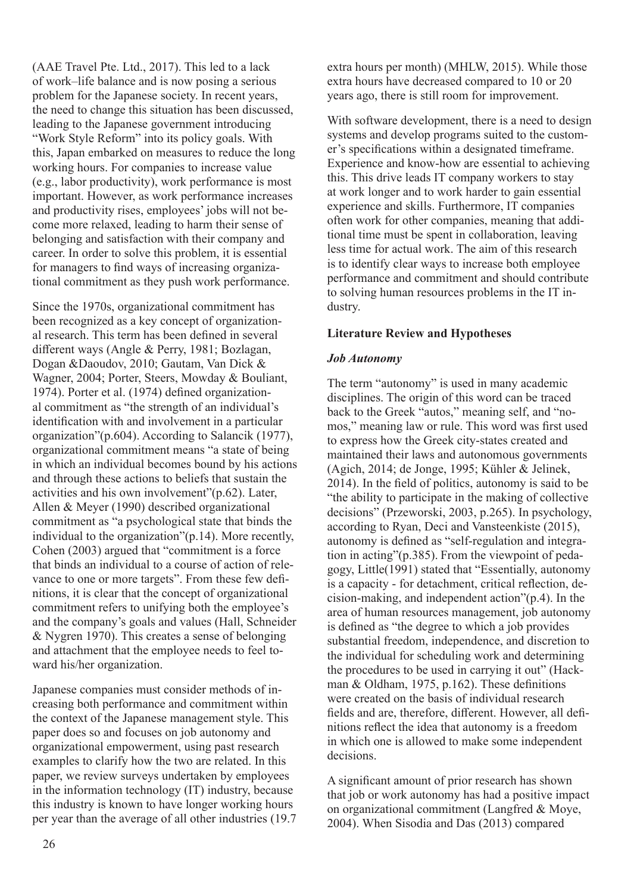(AAE Travel Pte. Ltd., 2017). This led to a lack of work–life balance and is now posing a serious problem for the Japanese society. In recent years, the need to change this situation has been discussed, leading to the Japanese government introducing "Work Style Reform" into its policy goals. With this, Japan embarked on measures to reduce the long working hours. For companies to increase value (e.g., labor productivity), work performance is most important. However, as work performance increases and productivity rises, employees' jobs will not become more relaxed, leading to harm their sense of belonging and satisfaction with their company and career. In order to solve this problem, it is essential for managers to find ways of increasing organizational commitment as they push work performance.

Since the 1970s, organizational commitment has been recognized as a key concept of organizational research. This term has been defined in several different ways (Angle & Perry, 1981; Bozlagan, Dogan &Daoudov, 2010; Gautam, Van Dick & Wagner, 2004; Porter, Steers, Mowday & Bouliant, 1974). Porter et al. (1974) defined organizational commitment as "the strength of an individual's identification with and involvement in a particular organization"(p.604). According to Salancik (1977), organizational commitment means "a state of being in which an individual becomes bound by his actions and through these actions to beliefs that sustain the activities and his own involvement"(p.62). Later, Allen & Meyer (1990) described organizational commitment as "a psychological state that binds the individual to the organization"(p.14). More recently, Cohen (2003) argued that "commitment is a force that binds an individual to a course of action of relevance to one or more targets". From these few definitions, it is clear that the concept of organizational commitment refers to unifying both the employee's and the company's goals and values (Hall, Schneider & Nygren 1970). This creates a sense of belonging and attachment that the employee needs to feel toward his/her organization.

Japanese companies must consider methods of increasing both performance and commitment within the context of the Japanese management style. This paper does so and focuses on job autonomy and organizational empowerment, using past research examples to clarify how the two are related. In this paper, we review surveys undertaken by employees in the information technology (IT) industry, because this industry is known to have longer working hours per year than the average of all other industries (19.7 extra hours per month) (MHLW, 2015). While those extra hours have decreased compared to 10 or 20 years ago, there is still room for improvement.

With software development, there is a need to design systems and develop programs suited to the customer's specifications within a designated timeframe. Experience and know-how are essential to achieving this. This drive leads IT company workers to stay at work longer and to work harder to gain essential experience and skills. Furthermore, IT companies often work for other companies, meaning that additional time must be spent in collaboration, leaving less time for actual work. The aim of this research is to identify clear ways to increase both employee performance and commitment and should contribute to solving human resources problems in the IT industry.

## **Literature Review and Hypotheses**

## *Job Autonomy*

The term "autonomy" is used in many academic disciplines. The origin of this word can be traced back to the Greek "autos," meaning self, and "nomos," meaning law or rule. This word was first used to express how the Greek city-states created and maintained their laws and autonomous governments (Agich, 2014; de Jonge, 1995; Kühler & Jelinek, 2014). In the field of politics, autonomy is said to be "the ability to participate in the making of collective decisions" (Przeworski, 2003, p.265). In psychology, according to Ryan, Deci and Vansteenkiste (2015), autonomy is defined as "self-regulation and integration in acting"(p.385). From the viewpoint of pedagogy, Little(1991) stated that "Essentially, autonomy is a capacity - for detachment, critical reflection, decision-making, and independent action"(p.4). In the area of human resources management, job autonomy is defined as "the degree to which a job provides substantial freedom, independence, and discretion to the individual for scheduling work and determining the procedures to be used in carrying it out" (Hackman & Oldham, 1975, p.162). These definitions were created on the basis of individual research fields and are, therefore, different. However, all definitions reflect the idea that autonomy is a freedom in which one is allowed to make some independent decisions.

A significant amount of prior research has shown that job or work autonomy has had a positive impact on organizational commitment (Langfred & Moye, 2004). When Sisodia and Das (2013) compared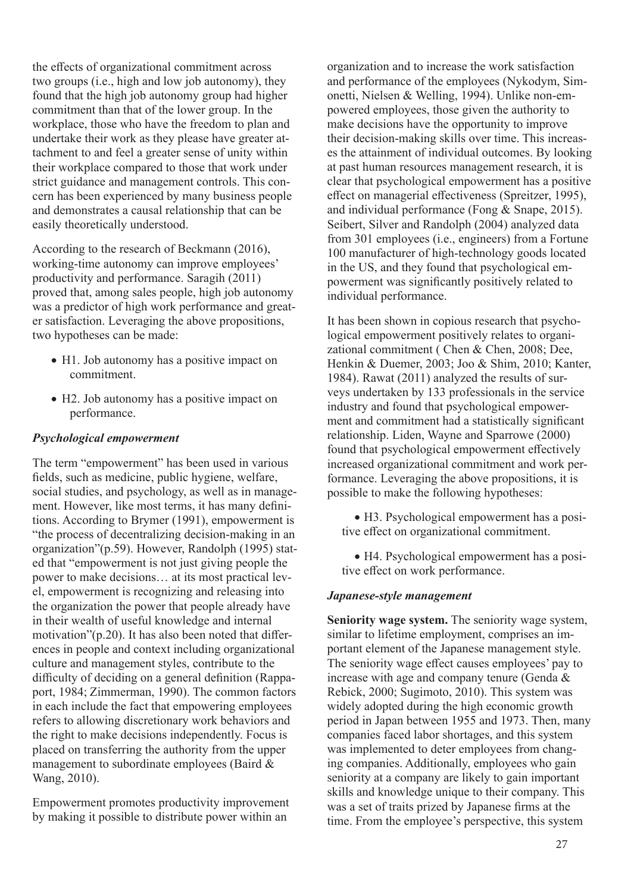the effects of organizational commitment across two groups (i.e., high and low job autonomy), they found that the high job autonomy group had higher commitment than that of the lower group. In the workplace, those who have the freedom to plan and undertake their work as they please have greater attachment to and feel a greater sense of unity within their workplace compared to those that work under strict guidance and management controls. This concern has been experienced by many business people and demonstrates a causal relationship that can be easily theoretically understood.

According to the research of Beckmann (2016), working-time autonomy can improve employees' productivity and performance. Saragih (2011) proved that, among sales people, high job autonomy was a predictor of high work performance and greater satisfaction. Leveraging the above propositions, two hypotheses can be made:

- H1. Job autonomy has a positive impact on commitment.
- H2. Job autonomy has a positive impact on performance.

## *Psychological empowerment*

The term "empowerment" has been used in various fields, such as medicine, public hygiene, welfare, social studies, and psychology, as well as in management. However, like most terms, it has many definitions. According to Brymer (1991), empowerment is "the process of decentralizing decision-making in an organization"(p.59). However, Randolph (1995) stated that "empowerment is not just giving people the power to make decisions… at its most practical level, empowerment is recognizing and releasing into the organization the power that people already have in their wealth of useful knowledge and internal motivation"(p.20). It has also been noted that differences in people and context including organizational culture and management styles, contribute to the difficulty of deciding on a general definition (Rappaport, 1984; Zimmerman, 1990). The common factors in each include the fact that empowering employees refers to allowing discretionary work behaviors and the right to make decisions independently. Focus is placed on transferring the authority from the upper management to subordinate employees (Baird & Wang, 2010).

Empowerment promotes productivity improvement by making it possible to distribute power within an

organization and to increase the work satisfaction and performance of the employees (Nykodym, Simonetti, Nielsen & Welling, 1994). Unlike non-empowered employees, those given the authority to make decisions have the opportunity to improve their decision-making skills over time. This increases the attainment of individual outcomes. By looking at past human resources management research, it is clear that psychological empowerment has a positive effect on managerial effectiveness (Spreitzer, 1995), and individual performance (Fong & Snape, 2015). Seibert, Silver and Randolph (2004) analyzed data from 301 employees (i.e., engineers) from a Fortune 100 manufacturer of high-technology goods located in the US, and they found that psychological empowerment was significantly positively related to individual performance.

It has been shown in copious research that psychological empowerment positively relates to organizational commitment ( Chen & Chen, 2008; Dee, Henkin & Duemer, 2003; Joo & Shim, 2010; Kanter, 1984). Rawat (2011) analyzed the results of surveys undertaken by 133 professionals in the service industry and found that psychological empowerment and commitment had a statistically significant relationship. Liden, Wayne and Sparrowe (2000) found that psychological empowerment effectively increased organizational commitment and work performance. Leveraging the above propositions, it is possible to make the following hypotheses:

• H3. Psychological empowerment has a positive effect on organizational commitment.

• H4. Psychological empowerment has a positive effect on work performance.

## *Japanese-style management*

**Seniority wage system.** The seniority wage system, similar to lifetime employment, comprises an important element of the Japanese management style. The seniority wage effect causes employees' pay to increase with age and company tenure (Genda & Rebick, 2000; Sugimoto, 2010). This system was widely adopted during the high economic growth period in Japan between 1955 and 1973. Then, many companies faced labor shortages, and this system was implemented to deter employees from changing companies. Additionally, employees who gain seniority at a company are likely to gain important skills and knowledge unique to their company. This was a set of traits prized by Japanese firms at the time. From the employee's perspective, this system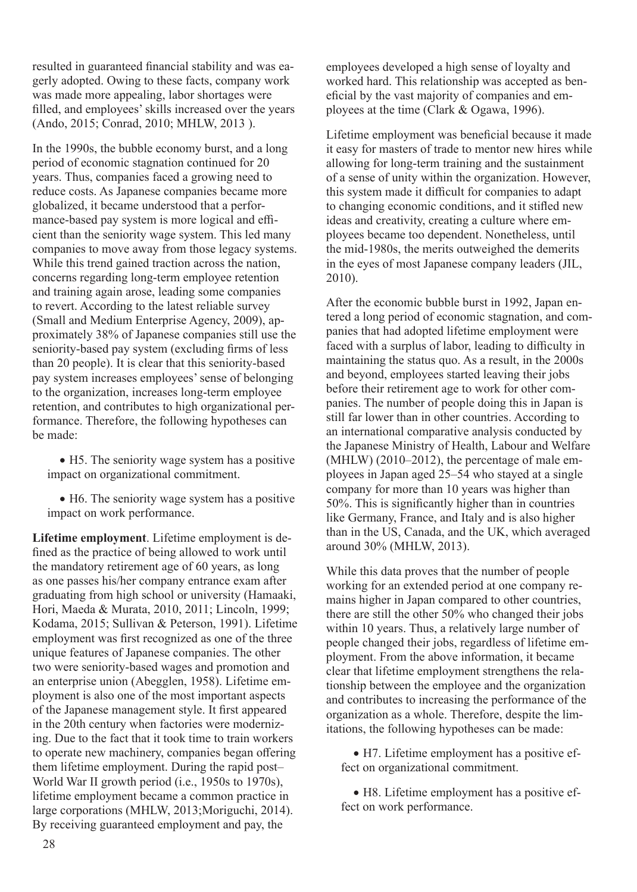resulted in guaranteed financial stability and was eagerly adopted. Owing to these facts, company work was made more appealing, labor shortages were filled, and employees' skills increased over the years (Ando, 2015; Conrad, 2010; MHLW, 2013 ).

In the 1990s, the bubble economy burst, and a long period of economic stagnation continued for 20 years. Thus, companies faced a growing need to reduce costs. As Japanese companies became more globalized, it became understood that a performance-based pay system is more logical and efficient than the seniority wage system. This led many companies to move away from those legacy systems. While this trend gained traction across the nation, concerns regarding long-term employee retention and training again arose, leading some companies to revert. According to the latest reliable survey (Small and Medium Enterprise Agency, 2009), approximately 38% of Japanese companies still use the seniority-based pay system (excluding firms of less than 20 people). It is clear that this seniority-based pay system increases employees' sense of belonging to the organization, increases long-term employee retention, and contributes to high organizational performance. Therefore, the following hypotheses can be made:

• H5. The seniority wage system has a positive impact on organizational commitment.

• H6. The seniority wage system has a positive impact on work performance.

**Lifetime employment**. Lifetime employment is defined as the practice of being allowed to work until the mandatory retirement age of 60 years, as long as one passes his/her company entrance exam after graduating from high school or university (Hamaaki, Hori, Maeda & Murata, 2010, 2011; Lincoln, 1999; Kodama, 2015; Sullivan & Peterson, 1991). Lifetime employment was first recognized as one of the three unique features of Japanese companies. The other two were seniority-based wages and promotion and an enterprise union (Abegglen, 1958). Lifetime employment is also one of the most important aspects of the Japanese management style. It first appeared in the 20th century when factories were modernizing. Due to the fact that it took time to train workers to operate new machinery, companies began offering them lifetime employment. During the rapid post– World War II growth period (i.e., 1950s to 1970s), lifetime employment became a common practice in large corporations (MHLW, 2013;Moriguchi, 2014). By receiving guaranteed employment and pay, the

employees developed a high sense of loyalty and worked hard. This relationship was accepted as beneficial by the vast majority of companies and employees at the time (Clark & Ogawa, 1996).

Lifetime employment was beneficial because it made it easy for masters of trade to mentor new hires while allowing for long-term training and the sustainment of a sense of unity within the organization. However, this system made it difficult for companies to adapt to changing economic conditions, and it stifled new ideas and creativity, creating a culture where employees became too dependent. Nonetheless, until the mid-1980s, the merits outweighed the demerits in the eyes of most Japanese company leaders (JIL, 2010).

After the economic bubble burst in 1992, Japan entered a long period of economic stagnation, and companies that had adopted lifetime employment were faced with a surplus of labor, leading to difficulty in maintaining the status quo. As a result, in the 2000s and beyond, employees started leaving their jobs before their retirement age to work for other companies. The number of people doing this in Japan is still far lower than in other countries. According to an international comparative analysis conducted by the Japanese Ministry of Health, Labour and Welfare (MHLW) (2010–2012), the percentage of male employees in Japan aged 25–54 who stayed at a single company for more than 10 years was higher than 50%. This is significantly higher than in countries like Germany, France, and Italy and is also higher than in the US, Canada, and the UK, which averaged around 30% (MHLW, 2013).

While this data proves that the number of people working for an extended period at one company remains higher in Japan compared to other countries, there are still the other 50% who changed their jobs within 10 years. Thus, a relatively large number of people changed their jobs, regardless of lifetime employment. From the above information, it became clear that lifetime employment strengthens the relationship between the employee and the organization and contributes to increasing the performance of the organization as a whole. Therefore, despite the limitations, the following hypotheses can be made:

• H7. Lifetime employment has a positive effect on organizational commitment.

• H8. Lifetime employment has a positive effect on work performance.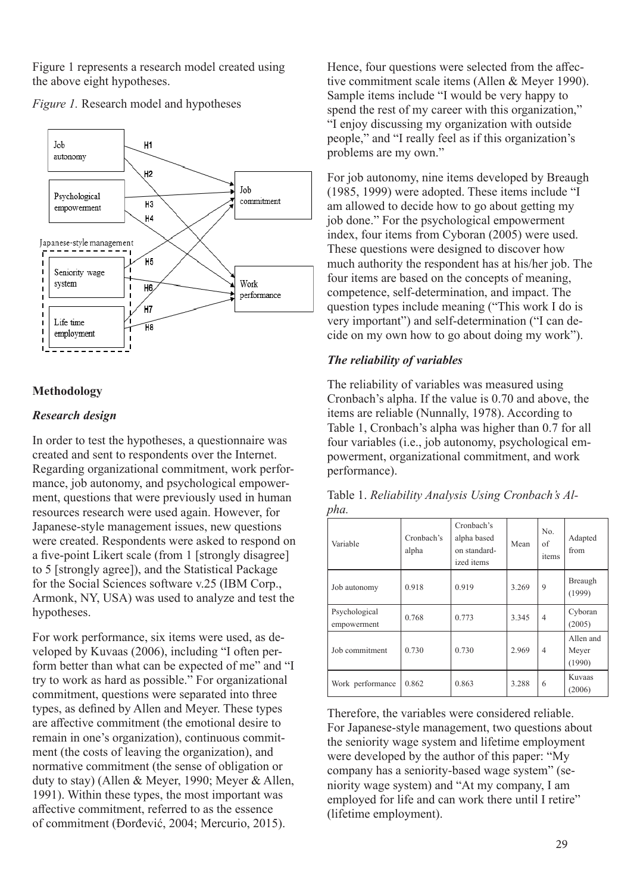Figure 1 represents a research model created using the above eight hypotheses.



*Figure 1.* Research model and hypotheses

# **Methodology**

## *Research design*

In order to test the hypotheses, a questionnaire was created and sent to respondents over the Internet. Regarding organizational commitment, work performance, job autonomy, and psychological empowerment, questions that were previously used in human resources research were used again. However, for Japanese-style management issues, new questions were created. Respondents were asked to respond on a five-point Likert scale (from 1 [strongly disagree] to 5 [strongly agree]), and the Statistical Package for the Social Sciences software v.25 (IBM Corp., Armonk, NY, USA) was used to analyze and test the hypotheses.

For work performance, six items were used, as developed by Kuvaas (2006), including "I often perform better than what can be expected of me" and "I try to work as hard as possible." For organizational commitment, questions were separated into three types, as defined by Allen and Meyer. These types are affective commitment (the emotional desire to remain in one's organization), continuous commitment (the costs of leaving the organization), and normative commitment (the sense of obligation or duty to stay) (Allen & Meyer, 1990; Meyer & Allen, 1991). Within these types, the most important was affective commitment, referred to as the essence of commitment (Đorđević, 2004; Mercurio, 2015).

Hence, four questions were selected from the affective commitment scale items (Allen & Meyer 1990). Sample items include "I would be very happy to spend the rest of my career with this organization," "I enjoy discussing my organization with outside people," and "I really feel as if this organization's problems are my own."

For job autonomy, nine items developed by Breaugh (1985, 1999) were adopted. These items include "I am allowed to decide how to go about getting my job done." For the psychological empowerment index, four items from Cyboran (2005) were used. These questions were designed to discover how much authority the respondent has at his/her job. The four items are based on the concepts of meaning, competence, self-determination, and impact. The question types include meaning ("This work I do is very important") and self-determination ("I can decide on my own how to go about doing my work").

## *The reliability of variables*

The reliability of variables was measured using Cronbach's alpha. If the value is 0.70 and above, the items are reliable (Nunnally, 1978). According to Table 1, Cronbach's alpha was higher than 0.7 for all four variables (i.e., job autonomy, psychological empowerment, organizational commitment, and work performance).

| $P$ , $\mathfrak{m}$         |                     |                                                         |       |                    |                              |
|------------------------------|---------------------|---------------------------------------------------------|-------|--------------------|------------------------------|
| Variable                     | Cronbach's<br>alpha | Cronbach's<br>alpha based<br>on standard-<br>ized items | Mean  | No.<br>of<br>items | Adapted<br>from              |
| Job autonomy                 | 0.918               | 0.919                                                   | 3.269 | 9                  | Breaugh<br>(1999)            |
| Psychological<br>empowerment | 0.768               | 0.773                                                   | 3.345 | 4                  | Cyboran<br>(2005)            |
| Job commitment               | 0.730               | 0.730                                                   | 2.969 | $\overline{4}$     | Allen and<br>Meyer<br>(1990) |
| Work performance             | 0.862               | 0.863                                                   | 3.288 | 6                  | Kuvaas<br>(2006)             |

Table 1. *Reliability Analysis Using Cronbach's Alpha.*

Therefore, the variables were considered reliable. For Japanese-style management, two questions about the seniority wage system and lifetime employment were developed by the author of this paper: "My company has a seniority-based wage system" (seniority wage system) and "At my company, I am employed for life and can work there until I retire" (lifetime employment).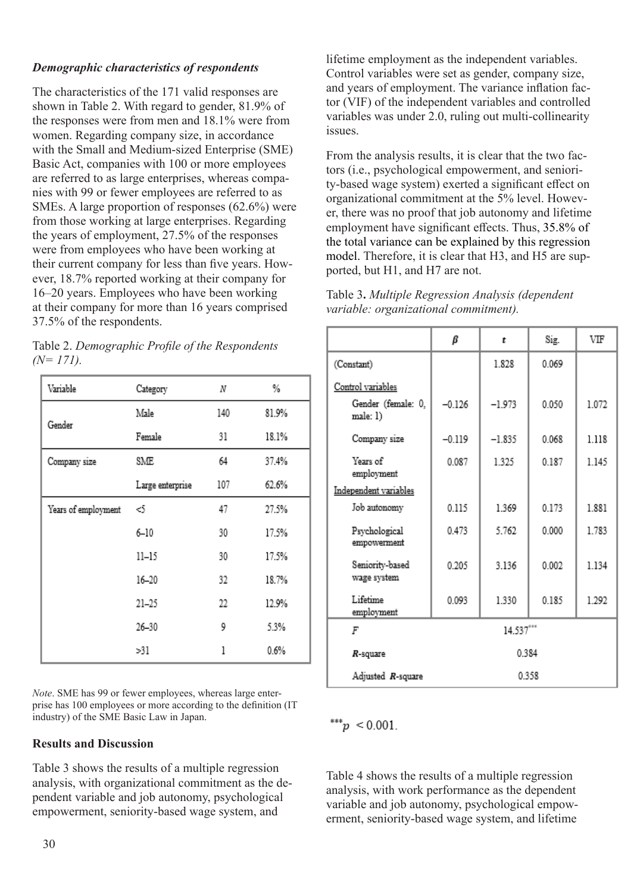# *Demographic characteristics of respondents*

The characteristics of the 171 valid responses are shown in Table 2. With regard to gender, 81.9% of the responses were from men and 18.1% were from women. Regarding company size, in accordance with the Small and Medium-sized Enterprise (SME) Basic Act, companies with 100 or more employees are referred to as large enterprises, whereas companies with 99 or fewer employees are referred to as SMEs. A large proportion of responses (62.6%) were from those working at large enterprises. Regarding the years of employment, 27.5% of the responses were from employees who have been working at their current company for less than five years. However, 18.7% reported working at their company for 16–20 years. Employees who have been working at their company for more than 16 years comprised 37.5% of the respondents.

| Table 2. Demographic Profile of the Respondents |  |
|-------------------------------------------------|--|
| $(N=171)$ .                                     |  |

| Variable            | Category<br>Ν    |     | ℅     |
|---------------------|------------------|-----|-------|
| Gender              | Male             | 140 | 81.9% |
|                     | Female           | 31  | 18.1% |
| Company size        | SME              | 64  | 37.4% |
|                     | Large enterprise | 107 | 62.6% |
| Years of employment | න                | 47  | 27.5% |
|                     | $6 - 10$         | 30  | 17.5% |
|                     | $11 - 15$        | 30  | 17.5% |
|                     | $16 - 20$        | 32  | 18.7% |
|                     | $21 - 25$        | 22  | 12.9% |
|                     | $26 - 30$        | 9   | 5.3%  |
|                     | >31              | 1   | 0.6%  |

*Note*. SME has 99 or fewer employees, whereas large enterprise has 100 employees or more according to the definition (IT industry) of the SME Basic Law in Japan.

# **Results and Discussion**

Table 3 shows the results of a multiple regression analysis, with organizational commitment as the dependent variable and job autonomy, psychological empowerment, seniority-based wage system, and

lifetime employment as the independent variables. Control variables were set as gender, company size, and years of employment. The variance inflation factor (VIF) of the independent variables and controlled variables was under 2.0, ruling out multi-collinearity issues.

From the analysis results, it is clear that the two factors (i.e., psychological empowerment, and seniority-based wage system) exerted a significant effect on organizational commitment at the 5% level. However, there was no proof that job autonomy and lifetime employment have significant effects. Thus, 35.8% of the total variance can be explained by this regression model. Therefore, it is clear that H3, and H5 are supported, but H1, and H7 are not.

| Table 3. Multiple Regression Analysis (dependent |
|--------------------------------------------------|
| variable: organizational commitment).            |

|                                | β         | t        | Sig.  | VIF   |
|--------------------------------|-----------|----------|-------|-------|
| (Constant)                     |           | 1.828    | 0.069 |       |
| Control variables              |           |          |       |       |
| Gender (female: 0,<br>male: 1) | $-0.126$  | $-1.973$ | 0.050 | 1.072 |
| Company size                   | $-0.119$  | $-1.835$ | 0.068 | 1.118 |
| Years of<br>employment         | 0.087     | 1325     | 0.187 | 1.145 |
| Independent variables          |           |          |       |       |
| Job autonomy                   | 0.115     | 1.369    | 0.173 | 1.881 |
| Psychological<br>empowerment   | 0.473     | 5.762    | 0.000 | 1.783 |
| Seniority-based<br>wage system | 0.205     | 3.136    | 0.002 | 1.134 |
| Lifetime<br>employment         | 0.093     | 1.330    | 0.185 | 1.292 |
| F                              | 14.537*** |          |       |       |
| 0.384<br>$R$ -square           |           |          |       |       |
| Adjusted R-square              |           | 0.358    |       |       |

\*\*\* $p < 0.001$ .

Table 4 shows the results of a multiple regression analysis, with work performance as the dependent variable and job autonomy, psychological empowerment, seniority-based wage system, and lifetime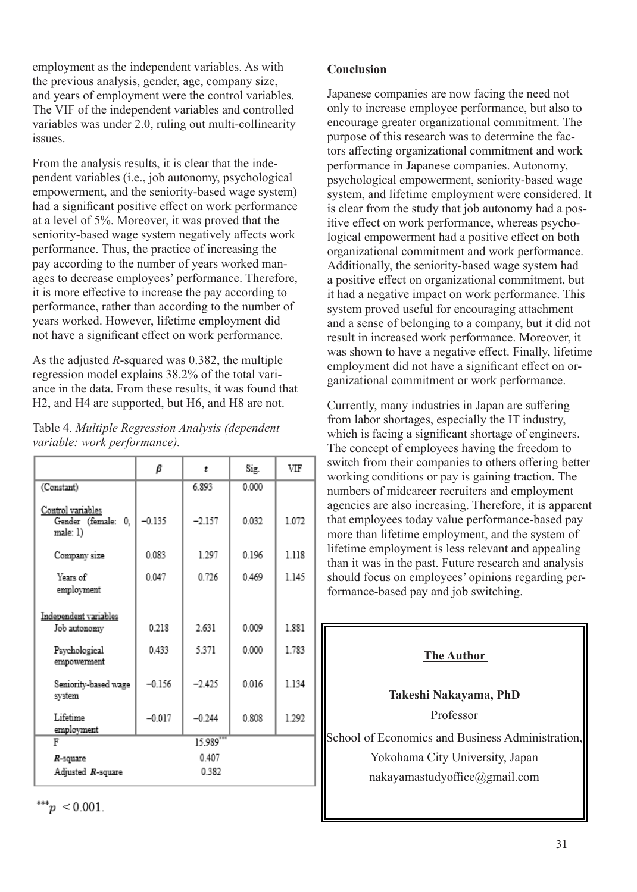employment as the independent variables. As with the previous analysis, gender, age, company size, and years of employment were the control variables. The VIF of the independent variables and controlled variables was under 2.0, ruling out multi-collinearity issues.

From the analysis results, it is clear that the independent variables (i.e., job autonomy, psychological empowerment, and the seniority-based wage system) had a significant positive effect on work performance at a level of 5%. Moreover, it was proved that the seniority-based wage system negatively affects work performance. Thus, the practice of increasing the pay according to the number of years worked manages to decrease employees' performance. Therefore, it is more effective to increase the pay according to performance, rather than according to the number of years worked. However, lifetime employment did not have a significant effect on work performance.

As the adjusted *R*-squared was 0.382, the multiple regression model explains 38.2% of the total variance in the data. From these results, it was found that H2, and H4 are supported, but H6, and H8 are not.

| Table 4. Multiple Regression Analysis (dependent |  |
|--------------------------------------------------|--|
| variable: work performance).                     |  |

|                                                     | β        | t         | Sig.  | VIF     |
|-----------------------------------------------------|----------|-----------|-------|---------|
| (Constant)                                          |          | 6.893     | 0.000 |         |
| Control variables<br>Gender (female: 0,<br>male: 1) | $-0.135$ | $-2.157$  | 0.032 | 1.072   |
| Company size                                        | 0.083    | 1.297     | 0.196 | 1.118   |
| Years of<br>employment                              | 0.047    | 0.726     | 0.469 | 1 1 4 5 |
| Independent variables<br>Job autonomy               | 0.218    | 2.631     | 0.009 | 1.881   |
| Psychological<br>empowerment                        | 0433     | 5.371     | 0.000 | 1.783   |
| Seniority-based wage<br>system                      | $-0.156$ | $-2.425$  | 0.016 | 1.134   |
| Lifetime<br>employment                              | $-0.017$ | $-0.244$  | 0.808 | 1.292   |
| F                                                   |          | 15.989*** |       |         |
| $R$ -square                                         |          | 0.407     |       |         |
| Adjusted R-square                                   |          | 0.382     |       |         |

\*\*\*p < 0.001.

**Conclusion**

Japanese companies are now facing the need not only to increase employee performance, but also to encourage greater organizational commitment. The purpose of this research was to determine the factors affecting organizational commitment and work performance in Japanese companies. Autonomy, psychological empowerment, seniority-based wage system, and lifetime employment were considered. It is clear from the study that job autonomy had a positive effect on work performance, whereas psychological empowerment had a positive effect on both organizational commitment and work performance. Additionally, the seniority-based wage system had a positive effect on organizational commitment, but it had a negative impact on work performance. This system proved useful for encouraging attachment and a sense of belonging to a company, but it did not result in increased work performance. Moreover, it was shown to have a negative effect. Finally, lifetime employment did not have a significant effect on organizational commitment or work performance.

Currently, many industries in Japan are suffering from labor shortages, especially the IT industry, which is facing a significant shortage of engineers. The concept of employees having the freedom to switch from their companies to others offering better working conditions or pay is gaining traction. The numbers of midcareer recruiters and employment agencies are also increasing. Therefore, it is apparent that employees today value performance-based pay more than lifetime employment, and the system of lifetime employment is less relevant and appealing than it was in the past. Future research and analysis should focus on employees' opinions regarding performance-based pay and job switching.

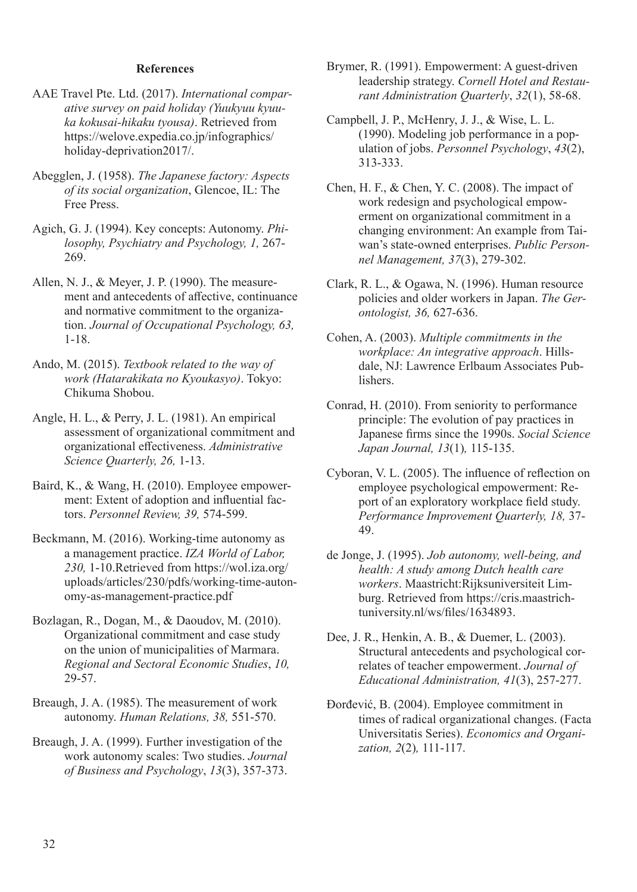## **References**

- AAE Travel Pte. Ltd. (2017). *International comparative survey on paid holiday (Yuukyuu kyuuka kokusai-hikaku tyousa)*. Retrieved from https://welove.expedia.co.jp/infographics/ holiday-deprivation2017/.
- Abegglen, J. (1958). *The Japanese factory: Aspects of its social organization*, Glencoe, IL: The Free Press.
- Agich, G. J. (1994). Key concepts: Autonomy. *Philosophy, Psychiatry and Psychology, 1,* 267- 269.
- Allen, N. J., & Meyer, J. P. (1990). The measurement and antecedents of affective, continuance and normative commitment to the organization. *Journal of Occupational Psychology, 63,* 1-18.
- Ando, M. (2015). *Textbook related to the way of work (Hatarakikata no Kyoukasyo)*. Tokyo: Chikuma Shobou.
- Angle, H. L., & Perry, J. L. (1981). An empirical assessment of organizational commitment and organizational effectiveness. *Administrative Science Quarterly, 26,* 1-13.
- Baird, K., & Wang, H. (2010). Employee empowerment: Extent of adoption and influential factors. *Personnel Review, 39,* 574-599.
- Beckmann, M. (2016). Working-time autonomy as a management practice. *IZA World of Labor, 230,* 1-10.Retrieved from https://wol.iza.org/ uploads/articles/230/pdfs/working-time-autonomy-as-management-practice.pdf
- Bozlagan, R., Dogan, M., & Daoudov, M. (2010). Organizational commitment and case study on the union of municipalities of Marmara. *Regional and Sectoral Economic Studies*, *10,* 29-57.
- Breaugh, J. A. (1985). The measurement of work autonomy. *Human Relations, 38,* 551-570.
- Breaugh, J. A. (1999). Further investigation of the work autonomy scales: Two studies. *Journal of Business and Psychology*, *13*(3), 357-373.
- Brymer, R. (1991). Empowerment: A guest-driven leadership strategy. *Cornell Hotel and Restaurant Administration Quarterly*, *32*(1), 58-68.
- Campbell, J. P., McHenry, J. J., & Wise, L. L. (1990). Modeling job performance in a population of jobs. *Personnel Psychology*, *43*(2), 313-333.
- Chen, H. F., & Chen, Y. C. (2008). The impact of work redesign and psychological empowerment on organizational commitment in a changing environment: An example from Taiwan's state-owned enterprises. *Public Personnel Management, 37*(3), 279-302.
- Clark, R. L., & Ogawa, N. (1996). Human resource policies and older workers in Japan. *The Gerontologist, 36,* 627-636.
- Cohen, A. (2003). *Multiple commitments in the workplace: An integrative approach*. Hillsdale, NJ: Lawrence Erlbaum Associates Publishers.
- Conrad, H. (2010). From seniority to performance principle: The evolution of pay practices in Japanese firms since the 1990s. *Social Science Japan Journal, 13*(1)*,* 115-135.
- Cyboran, V. L. (2005). The influence of reflection on employee psychological empowerment: Report of an exploratory workplace field study. *Performance Improvement Quarterly, 18,* 37- 49.
- de Jonge, J. (1995). *Job autonomy, well-being, and health: A study among Dutch health care workers*. Maastricht:Rijksuniversiteit Limburg. Retrieved from https://cris.maastrichtuniversity.nl/ws/files/1634893.
- Dee, J. R., Henkin, A. B., & Duemer, L. (2003). Structural antecedents and psychological correlates of teacher empowerment. *Journal of Educational Administration, 41*(3), 257-277.
- Đorđević, B. (2004). Employee commitment in times of radical organizational changes. (Facta Universitatis Series). *Economics and Organization, 2*(2)*,* 111-117.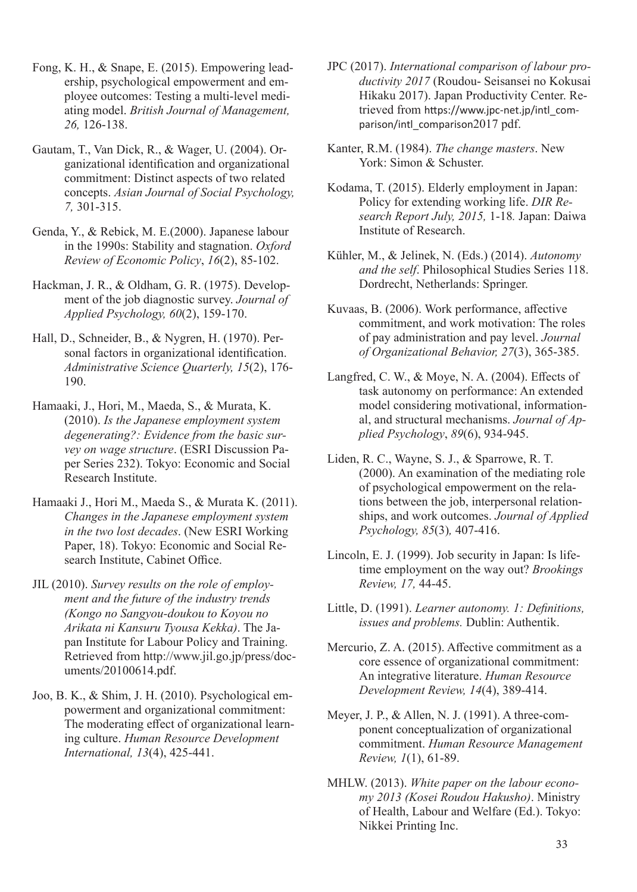- Fong, K. H., & Snape, E. (2015). Empowering leadership, psychological empowerment and employee outcomes: Testing a multi-level mediating model. *British Journal of Management, 26,* 126-138.
- Gautam, T., Van Dick, R., & Wager, U. (2004). Organizational identification and organizational commitment: Distinct aspects of two related concepts. *Asian Journal of Social Psychology, 7,* 301-315.
- Genda, Y., & Rebick, M. E.(2000). Japanese labour in the 1990s: Stability and stagnation. *Oxford Review of Economic Policy*, *16*(2), 85-102.
- Hackman, J. R., & Oldham, G. R. (1975). Development of the job diagnostic survey. *Journal of Applied Psychology, 60*(2), 159-170.
- Hall, D., Schneider, B., & Nygren, H. (1970). Personal factors in organizational identification. *Administrative Science Quarterly, 15*(2), 176- 190.
- Hamaaki, J., Hori, M., Maeda, S., & Murata, K. (2010). *Is the Japanese employment system degenerating?: Evidence from the basic survey on wage structure*. (ESRI Discussion Paper Series 232). Tokyo: Economic and Social Research Institute.
- Hamaaki J., Hori M., Maeda S., & Murata K. (2011). *Changes in the Japanese employment system in the two lost decades*. (New ESRI Working Paper, 18). Tokyo: Economic and Social Research Institute, Cabinet Office.
- JIL (2010). *Survey results on the role of employment and the future of the industry trends (Kongo no Sangyou-doukou to Koyou no Arikata ni Kansuru Tyousa Kekka)*. The Japan Institute for Labour Policy and Training. Retrieved from http://www.jil.go.jp/press/documents/20100614.pdf.
- Joo, B. K., & Shim, J. H. (2010). Psychological empowerment and organizational commitment: The moderating effect of organizational learning culture. *Human Resource Development International, 13*(4), 425-441.
- JPC (2017). *International comparison of labour productivity 2017* (Roudou- Seisansei no Kokusai Hikaku 2017). Japan Productivity Center. Retrieved from https://www.jpc-net.jp/intl\_comparison/intl\_comparison2017 pdf.
- Kanter, R.M. (1984). *The change masters*. New York: Simon & Schuster.
- Kodama, T. (2015). Elderly employment in Japan: Policy for extending working life. *DIR Research Report July, 2015,* 1-18*.* Japan: Daiwa Institute of Research.
- Kühler, M., & Jelinek, N. (Eds.) (2014). *Autonomy and the self*. Philosophical Studies Series 118. Dordrecht, Netherlands: Springer.
- Kuvaas, B. (2006). Work performance, affective commitment, and work motivation: The roles of pay administration and pay level. *Journal of Organizational Behavior, 27*(3), 365-385.
- Langfred, C. W., & Moye, N. A. (2004). Effects of task autonomy on performance: An extended model considering motivational, informational, and structural mechanisms. *Journal of Applied Psychology*, *89*(6), 934-945.
- Liden, R. C., Wayne, S. J., & Sparrowe, R. T. (2000). An examination of the mediating role of psychological empowerment on the relations between the job, interpersonal relationships, and work outcomes. *Journal of Applied Psychology, 85*(3)*,* 407-416.
- Lincoln, E. J. (1999). Job security in Japan: Is lifetime employment on the way out? *Brookings Review, 17,* 44-45.
- Little, D. (1991). *Learner autonomy. 1: Definitions, issues and problems.* Dublin: Authentik.
- Mercurio, Z. A. (2015). Affective commitment as a core essence of organizational commitment: An integrative literature. *Human Resource Development Review, 14*(4), 389-414.
- Meyer, J. P., & Allen, N. J. (1991). A three-component conceptualization of organizational commitment. *Human Resource Management Review, 1*(1), 61-89.
- MHLW. (2013). *White paper on the labour economy 2013 (Kosei Roudou Hakusho)*. Ministry of Health, Labour and Welfare (Ed.). Tokyo: Nikkei Printing Inc.